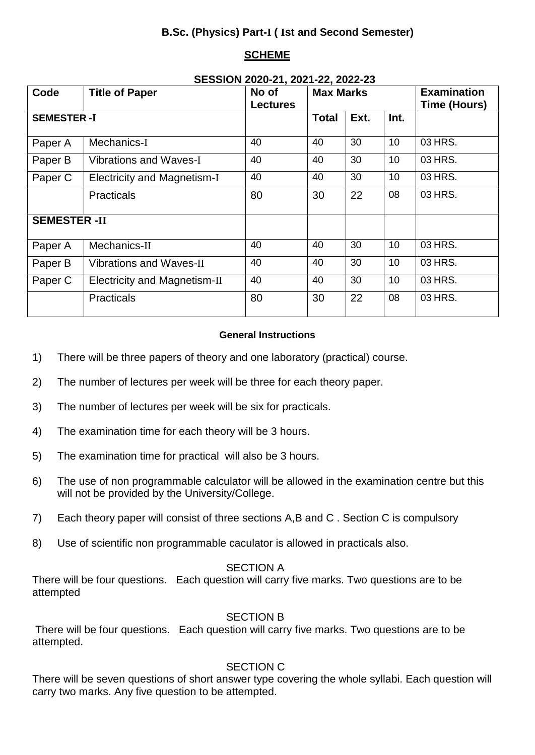# **B.Sc. (Physics) Part-I ( Ist and Second Semester)**

# **SCHEME**

|                     |                                     | SESSION 2020-21, 2021-22, 2022-23 |                  |      |      |                                    |  |
|---------------------|-------------------------------------|-----------------------------------|------------------|------|------|------------------------------------|--|
| Code                | <b>Title of Paper</b>               | No of<br><b>Lectures</b>          | <b>Max Marks</b> |      |      | <b>Examination</b><br>Time (Hours) |  |
| <b>SEMESTER-I</b>   |                                     |                                   | <b>Total</b>     | Ext. | Int. |                                    |  |
| Paper A             | Mechanics-I                         | 40                                | 40               | 30   | 10   | 03 HRS.                            |  |
| Paper B             | <b>Vibrations and Waves-I</b>       | 40                                | 40               | 30   | 10   | 03 HRS.                            |  |
| Paper C             | <b>Electricity and Magnetism-I</b>  | 40                                | 40               | 30   | 10   | 03 HRS.                            |  |
|                     | <b>Practicals</b>                   | 80                                | 30               | 22   | 08   | 03 HRS.                            |  |
| <b>SEMESTER -II</b> |                                     |                                   |                  |      |      |                                    |  |
| Paper A             | Mechanics-II                        | 40                                | 40               | 30   | 10   | 03 HRS.                            |  |
| Paper B             | <b>Vibrations and Waves-II</b>      | 40                                | 40               | 30   | 10   | 03 HRS.                            |  |
| Paper C             | <b>Electricity and Magnetism-II</b> | 40                                | 40               | 30   | 10   | 03 HRS.                            |  |
|                     | <b>Practicals</b>                   | 80                                | 30               | 22   | 08   | 03 HRS.                            |  |

# **SESSION 2020-21, 2021-22, 2022-23**

## **General Instructions**

- 1) There will be three papers of theory and one laboratory (practical) course.
- 2) The number of lectures per week will be three for each theory paper.
- 3) The number of lectures per week will be six for practicals.
- 4) The examination time for each theory will be 3 hours.
- 5) The examination time for practical will also be 3 hours.
- 6) The use of non programmable calculator will be allowed in the examination centre but this will not be provided by the University/College.
- 7) Each theory paper will consist of three sections A,B and C . Section C is compulsory
- 8) Use of scientific non programmable caculator is allowed in practicals also.

## SECTION A

There will be four questions. Each question will carry five marks. Two questions are to be attempted

## SECTION B

There will be four questions. Each question will carry five marks. Two questions are to be attempted.

# SECTION C

There will be seven questions of short answer type covering the whole syllabi. Each question will carry two marks. Any five question to be attempted.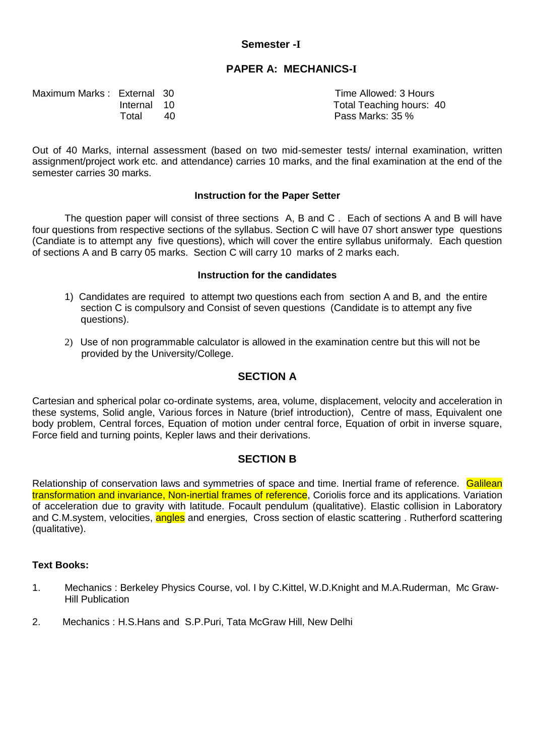## **Semester -I**

## **PAPER A: MECHANICS-I**

Maximum Marks : External 30 Time Allowed: 3 Hours

Internal 10 Total Teaching hours: 40 Total 40 Pass Marks: 35 %

Out of 40 Marks, internal assessment (based on two mid-semester tests/ internal examination, written assignment/project work etc. and attendance) carries 10 marks, and the final examination at the end of the semester carries 30 marks.

### **Instruction for the Paper Setter**

The question paper will consist of three sections A, B and C . Each of sections A and B will have four questions from respective sections of the syllabus. Section C will have 07 short answer type questions (Candiate is to attempt any five questions), which will cover the entire syllabus uniformaly. Each question of sections A and B carry 05 marks. Section C will carry 10 marks of 2 marks each.

#### **Instruction for the candidates**

- 1) Candidates are required to attempt two questions each from section A and B, and the entire section C is compulsory and Consist of seven questions (Candidate is to attempt any five questions).
- 2) Use of non programmable calculator is allowed in the examination centre but this will not be provided by the University/College.

## **SECTION A**

Cartesian and spherical polar co-ordinate systems, area, volume, displacement, velocity and acceleration in these systems, Solid angle, Various forces in Nature (brief introduction), Centre of mass, Equivalent one body problem, Central forces, Equation of motion under central force, Equation of orbit in inverse square, Force field and turning points, Kepler laws and their derivations.

## **SECTION B**

Relationship of conservation laws and symmetries of space and time. Inertial frame of reference. Galilean transformation and invariance, Non-inertial frames of reference, Coriolis force and its applications. Variation of acceleration due to gravity with latitude. Focault pendulum (qualitative). Elastic collision in Laboratory and C.M.system, velocities, angles and energies, Cross section of elastic scattering. Rutherford scattering (qualitative).

- 1. Mechanics : Berkeley Physics Course, vol. I by C.Kittel, W.D.Knight and M.A.Ruderman, Mc Graw-Hill Publication
- 2. Mechanics : H.S.Hans and S.P.Puri, Tata McGraw Hill, New Delhi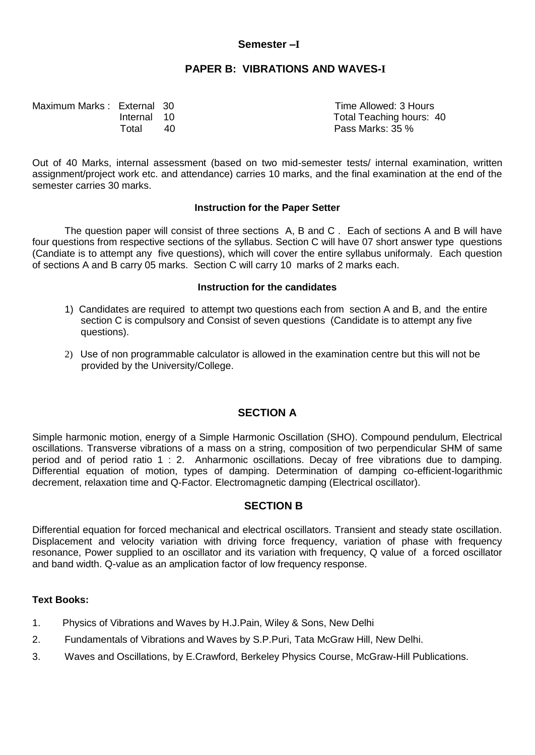## **Semester –I**

## **PAPER B: VIBRATIONS AND WAVES-I**

Maximum Marks : External 30 Time Allowed: 3 Hours

Internal 10 Total Teaching hours: 40 Total 40 Pass Marks: 35 %

Out of 40 Marks, internal assessment (based on two mid-semester tests/ internal examination, written assignment/project work etc. and attendance) carries 10 marks, and the final examination at the end of the semester carries 30 marks.

## **Instruction for the Paper Setter**

The question paper will consist of three sections A, B and C . Each of sections A and B will have four questions from respective sections of the syllabus. Section C will have 07 short answer type questions (Candiate is to attempt any five questions), which will cover the entire syllabus uniformaly. Each question of sections A and B carry 05 marks. Section C will carry 10 marks of 2 marks each.

### **Instruction for the candidates**

- 1) Candidates are required to attempt two questions each from section A and B, and the entire section C is compulsory and Consist of seven questions (Candidate is to attempt any five questions).
- 2) Use of non programmable calculator is allowed in the examination centre but this will not be provided by the University/College.

## **SECTION A**

Simple harmonic motion, energy of a Simple Harmonic Oscillation (SHO). Compound pendulum, Electrical oscillations. Transverse vibrations of a mass on a string, composition of two perpendicular SHM of same period and of period ratio 1 : 2. Anharmonic oscillations. Decay of free vibrations due to damping. Differential equation of motion, types of damping. Determination of damping co-efficient-logarithmic decrement, relaxation time and Q-Factor. Electromagnetic damping (Electrical oscillator).

## **SECTION B**

Differential equation for forced mechanical and electrical oscillators. Transient and steady state oscillation. Displacement and velocity variation with driving force frequency, variation of phase with frequency resonance, Power supplied to an oscillator and its variation with frequency, Q value of a forced oscillator and band width. Q-value as an amplication factor of low frequency response.

- 1. Physics of Vibrations and Waves by H.J.Pain, Wiley & Sons, New Delhi
- 2. Fundamentals of Vibrations and Waves by S.P.Puri, Tata McGraw Hill, New Delhi.
- 3. Waves and Oscillations, by E.Crawford, Berkeley Physics Course, McGraw-Hill Publications.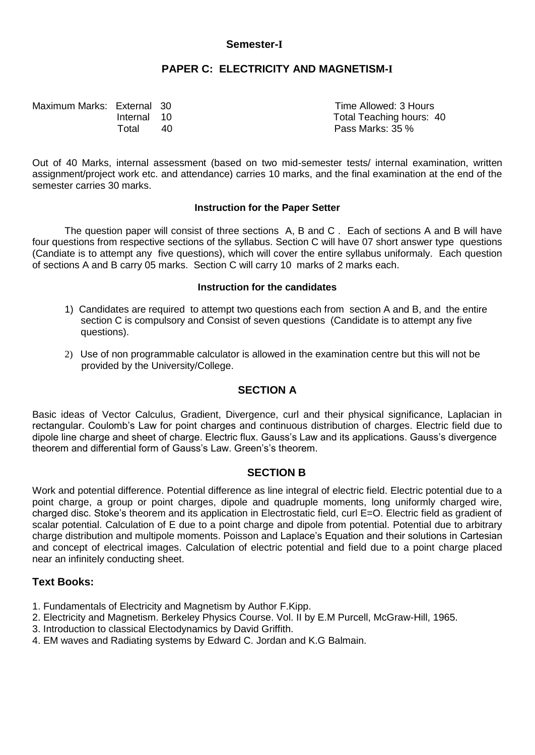## **Semester-I**

## **PAPER C: ELECTRICITY AND MAGNETISM-I**

| Maximum Marks: External 30 |             |    | Time Allowed: 3 Hours    |
|----------------------------|-------------|----|--------------------------|
|                            | Internal 10 |    | Total Teaching hours: 40 |
|                            | ™otal       | 40 | Pass Marks: 35 %         |

Out of 40 Marks, internal assessment (based on two mid-semester tests/ internal examination, written assignment/project work etc. and attendance) carries 10 marks, and the final examination at the end of the semester carries 30 marks.

### **Instruction for the Paper Setter**

The question paper will consist of three sections A, B and C . Each of sections A and B will have four questions from respective sections of the syllabus. Section C will have 07 short answer type questions (Candiate is to attempt any five questions), which will cover the entire syllabus uniformaly. Each question of sections A and B carry 05 marks. Section C will carry 10 marks of 2 marks each.

#### **Instruction for the candidates**

- 1) Candidates are required to attempt two questions each from section A and B, and the entire section C is compulsory and Consist of seven questions (Candidate is to attempt any five questions).
- 2) Use of non programmable calculator is allowed in the examination centre but this will not be provided by the University/College.

## **SECTION A**

Basic ideas of Vector Calculus, Gradient, Divergence, curl and their physical significance, Laplacian in rectangular. Coulomb's Law for point charges and continuous distribution of charges. Electric field due to dipole line charge and sheet of charge. Electric flux. Gauss's Law and its applications. Gauss's divergence theorem and differential form of Gauss's Law. Green's's theorem.

## **SECTION B**

Work and potential difference. Potential difference as line integral of electric field. Electric potential due to a point charge, a group or point charges, dipole and quadruple moments, long uniformly charged wire, charged disc. Stoke's theorem and its application in Electrostatic field, curl E=O. Electric field as gradient of scalar potential. Calculation of E due to a point charge and dipole from potential. Potential due to arbitrary charge distribution and multipole moments. Poisson and Laplace's Equation and their solutions in Cartesian and concept of electrical images. Calculation of electric potential and field due to a point charge placed near an infinitely conducting sheet.

- 1. Fundamentals of Electricity and Magnetism by Author F.Kipp.
- 2. Electricity and Magnetism. Berkeley Physics Course. Vol. II by E.M Purcell, McGraw-Hill, 1965.
- 3. Introduction to classical Electodynamics by David Griffith.
- 4. EM waves and Radiating systems by Edward C. Jordan and K.G Balmain.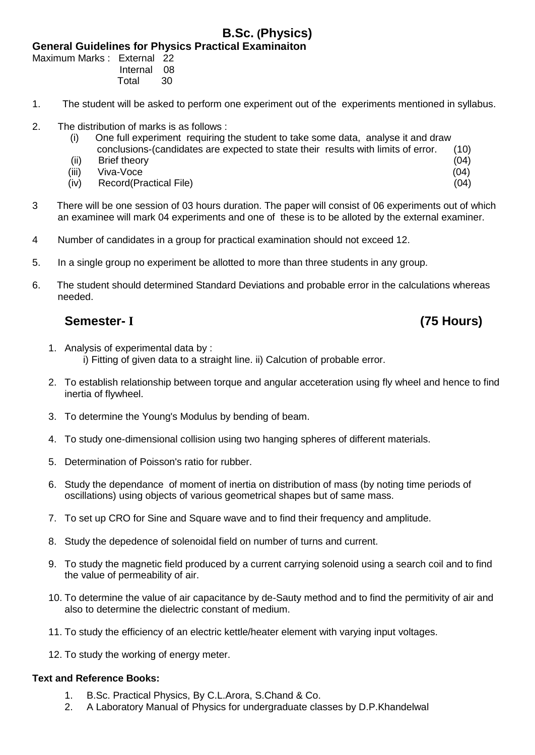# **B.Sc. (Physics)**

**General Guidelines for Physics Practical Examinaiton**

Maximum Marks : External 22 Internal 08 Total 30

- 1. The student will be asked to perform one experiment out of the experiments mentioned in syllabus.
- 2. The distribution of marks is as follows :
	- (i) One full experiment requiring the student to take some data, analyse it and draw conclusions-(candidates are expected to state their results with limits of error. (10)
	- (ii) Brief theory (04)
- (iii) Viva-Voce (04)
	- (iv) Record(Practical File) (04)
- 3 There will be one session of 03 hours duration. The paper will consist of 06 experiments out of which an examinee will mark 04 experiments and one of these is to be alloted by the external examiner.
- 4 Number of candidates in a group for practical examination should not exceed 12.
- 5. In a single group no experiment be allotted to more than three students in any group.
- 6. The student should determined Standard Deviations and probable error in the calculations whereas needed.

# **Semester- I (75 Hours)**

- 1. Analysis of experimental data by : i) Fitting of given data to a straight line. ii) Calcution of probable error.
- 2. To establish relationship between torque and angular acceteration using fly wheel and hence to find inertia of flywheel.
- 3. To determine the Young's Modulus by bending of beam.
- 4. To study one-dimensional collision using two hanging spheres of different materials.
- 5. Determination of Poisson's ratio for rubber.
- 6. Study the dependance of moment of inertia on distribution of mass (by noting time periods of oscillations) using objects of various geometrical shapes but of same mass.
- 7. To set up CRO for Sine and Square wave and to find their frequency and amplitude.
- 8. Study the depedence of solenoidal field on number of turns and current.
- 9. To study the magnetic field produced by a current carrying solenoid using a search coil and to find the value of permeability of air.
- 10. To determine the value of air capacitance by de-Sauty method and to find the permitivity of air and also to determine the dielectric constant of medium.
- 11. To study the efficiency of an electric kettle/heater element with varying input voltages.
- 12. To study the working of energy meter.

## **Text and Reference Books:**

- 1. B.Sc. Practical Physics, By C.L.Arora, S.Chand & Co.
- 2. A Laboratory Manual of Physics for undergraduate classes by D.P.Khandelwal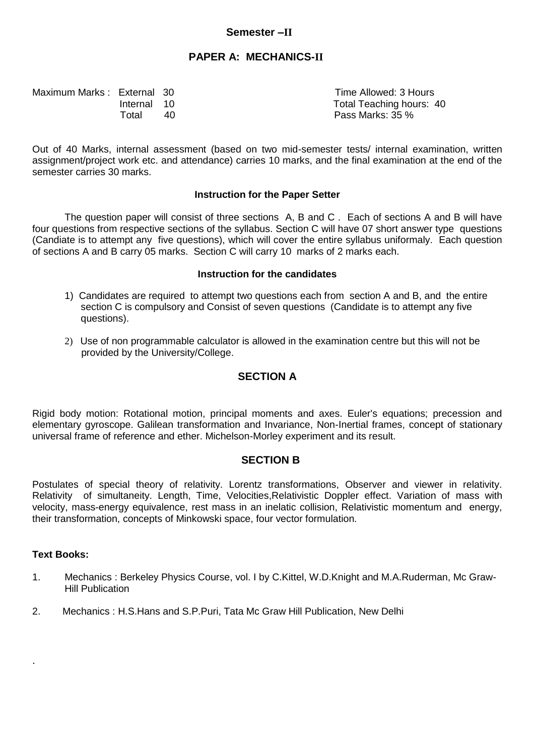### **Semester –II**

## **PAPER A: MECHANICS-II**

| Maximum Marks: External 30 |             |    | Time Allowed: 3 Hours    |
|----------------------------|-------------|----|--------------------------|
|                            | Internal 10 |    | Total Teaching hours: 40 |
|                            | Total       | 40 | Pass Marks: 35 %         |

Out of 40 Marks, internal assessment (based on two mid-semester tests/ internal examination, written assignment/project work etc. and attendance) carries 10 marks, and the final examination at the end of the semester carries 30 marks.

#### **Instruction for the Paper Setter**

The question paper will consist of three sections A, B and C . Each of sections A and B will have four questions from respective sections of the syllabus. Section C will have 07 short answer type questions (Candiate is to attempt any five questions), which will cover the entire syllabus uniformaly. Each question of sections A and B carry 05 marks. Section C will carry 10 marks of 2 marks each.

#### **Instruction for the candidates**

- 1) Candidates are required to attempt two questions each from section A and B, and the entire section C is compulsory and Consist of seven questions (Candidate is to attempt any five questions).
- 2) Use of non programmable calculator is allowed in the examination centre but this will not be provided by the University/College.

### **SECTION A**

Rigid body motion: Rotational motion, principal moments and axes. Euler's equations; precession and elementary gyroscope. Galilean transformation and Invariance, Non-Inertial frames, concept of stationary universal frame of reference and ether. Michelson-Morley experiment and its result.

#### **SECTION B**

Postulates of special theory of relativity. Lorentz transformations, Observer and viewer in relativity. Relativity of simultaneity. Length, Time, Velocities,Relativistic Doppler effect. Variation of mass with velocity, mass-energy equivalence, rest mass in an inelatic collision, Relativistic momentum and energy, their transformation, concepts of Minkowski space, four vector formulation.

#### **Text Books:**

.

- 1. Mechanics : Berkeley Physics Course, vol. I by C.Kittel, W.D.Knight and M.A.Ruderman, Mc Graw-Hill Publication
- 2. Mechanics : H.S.Hans and S.P.Puri, Tata Mc Graw Hill Publication, New Delhi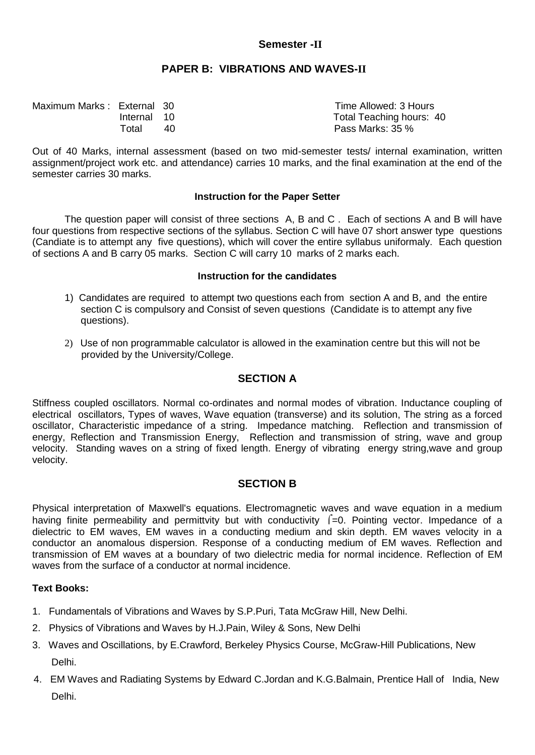## **Semester -II**

## **PAPER B: VIBRATIONS AND WAVES-II**

| Maximum Marks: External 30 |             |    | Time Allowed: 3 Hours    |
|----------------------------|-------------|----|--------------------------|
|                            | Internal 10 |    | Total Teaching hours: 40 |
|                            | Total       | 40 | Pass Marks: 35 %         |

Out of 40 Marks, internal assessment (based on two mid-semester tests/ internal examination, written assignment/project work etc. and attendance) carries 10 marks, and the final examination at the end of the semester carries 30 marks.

#### **Instruction for the Paper Setter**

The question paper will consist of three sections A, B and C . Each of sections A and B will have four questions from respective sections of the syllabus. Section C will have 07 short answer type questions (Candiate is to attempt any five questions), which will cover the entire syllabus uniformaly. Each question of sections A and B carry 05 marks. Section C will carry 10 marks of 2 marks each.

#### **Instruction for the candidates**

- 1) Candidates are required to attempt two questions each from section A and B, and the entire section C is compulsory and Consist of seven questions (Candidate is to attempt any five questions).
- 2) Use of non programmable calculator is allowed in the examination centre but this will not be provided by the University/College.

## **SECTION A**

Stiffness coupled oscillators. Normal co-ordinates and normal modes of vibration. Inductance coupling of electrical oscillators, Types of waves, Wave equation (transverse) and its solution, The string as a forced oscillator, Characteristic impedance of a string. Impedance matching. Reflection and transmission of energy, Reflection and Transmission Energy, Reflection and transmission of string, wave and group velocity. Standing waves on a string of fixed length. Energy of vibrating energy string,wave and group velocity.

## **SECTION B**

Physical interpretation of Maxwell's equations. Electromagnetic waves and wave equation in a medium having finite permeability and permittvity but with conductivity  $\int =0$ . Pointing vector. Impedance of a dielectric to EM waves, EM waves in a conducting medium and skin depth. EM waves velocity in a conductor an anomalous dispersion. Response of a conducting medium of EM waves. Reflection and transmission of EM waves at a boundary of two dielectric media for normal incidence. Reflection of EM waves from the surface of a conductor at normal incidence.

- 1. Fundamentals of Vibrations and Waves by S.P.Puri, Tata McGraw Hill, New Delhi.
- 2. Physics of Vibrations and Waves by H.J.Pain, Wiley & Sons, New Delhi
- 3. Waves and Oscillations, by E.Crawford, Berkeley Physics Course, McGraw-Hill Publications, New Delhi.
- 4. EM Waves and Radiating Systems by Edward C.Jordan and K.G.Balmain, Prentice Hall of India, New Delhi.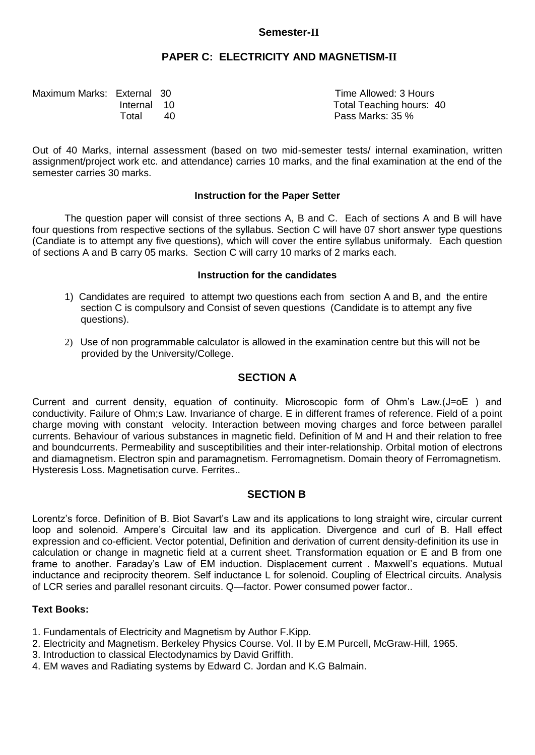## **Semester-II**

## **PAPER C: ELECTRICITY AND MAGNETISM-II**

| Maximum Marks: External 30 |             |    | Time Allowed: 3 Hours    |
|----------------------------|-------------|----|--------------------------|
|                            | Internal 10 |    | Total Teaching hours: 40 |
|                            | Total       | 40 | Pass Marks: 35 %         |

Out of 40 Marks, internal assessment (based on two mid-semester tests/ internal examination, written assignment/project work etc. and attendance) carries 10 marks, and the final examination at the end of the semester carries 30 marks.

#### **Instruction for the Paper Setter**

The question paper will consist of three sections A, B and C. Each of sections A and B will have four questions from respective sections of the syllabus. Section C will have 07 short answer type questions (Candiate is to attempt any five questions), which will cover the entire syllabus uniformaly. Each question of sections A and B carry 05 marks. Section C will carry 10 marks of 2 marks each.

#### **Instruction for the candidates**

- 1) Candidates are required to attempt two questions each from section A and B, and the entire section C is compulsory and Consist of seven questions (Candidate is to attempt any five questions).
- 2) Use of non programmable calculator is allowed in the examination centre but this will not be provided by the University/College.

## **SECTION A**

Current and current density, equation of continuity. Microscopic form of Ohm's Law.(J=oE ) and conductivity. Failure of Ohm;s Law. Invariance of charge. E in different frames of reference. Field of a point charge moving with constant velocity. Interaction between moving charges and force between parallel currents. Behaviour of various substances in magnetic field. Definition of M and H and their relation to free and boundcurrents. Permeability and susceptibilities and their inter-relationship. Orbital motion of electrons and diamagnetism. Electron spin and paramagnetism. Ferromagnetism. Domain theory of Ferromagnetism. Hysteresis Loss. Magnetisation curve. Ferrites..

## **SECTION B**

Lorentz's force. Definition of B. Biot Savart's Law and its applications to long straight wire, circular current loop and solenoid. Ampere's Circuital law and its application. Divergence and curl of B. Hall effect expression and co-efficient. Vector potential, Definition and derivation of current density-definition its use in calculation or change in magnetic field at a current sheet. Transformation equation or E and B from one frame to another. Faraday's Law of EM induction. Displacement current . Maxwell's equations. Mutual inductance and reciprocity theorem. Self inductance L for solenoid. Coupling of Electrical circuits. Analysis of LCR series and parallel resonant circuits. Q—factor. Power consumed power factor..

- 1. Fundamentals of Electricity and Magnetism by Author F.Kipp.
- 2. Electricity and Magnetism. Berkeley Physics Course. Vol. II by E.M Purcell, McGraw-Hill, 1965.
- 3. Introduction to classical Electodynamics by David Griffith.
- 4. EM waves and Radiating systems by Edward C. Jordan and K.G Balmain.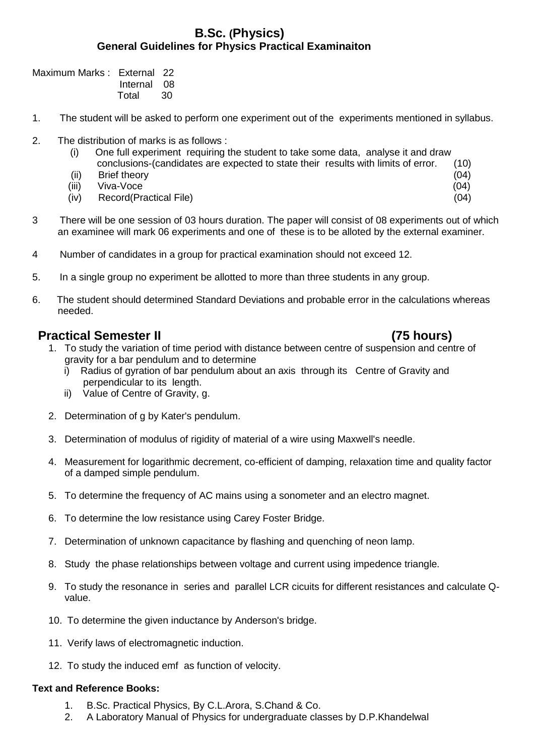## **B.Sc. (Physics) General Guidelines for Physics Practical Examinaiton**

Maximum Marks : External 22 Internal 08 Total 30

- 1. The student will be asked to perform one experiment out of the experiments mentioned in syllabus.
- 2. The distribution of marks is as follows :
	- (i) One full experiment requiring the student to take some data, analyse it and draw conclusions-(candidates are expected to state their results with limits of error. (10)
	- (ii) Brief theory (04)
- (iii) Viva-Voce (04)
	- (iv) Record(Practical File) (04)
- 3 There will be one session of 03 hours duration. The paper will consist of 08 experiments out of which an examinee will mark 06 experiments and one of these is to be alloted by the external examiner.
- 4 Number of candidates in a group for practical examination should not exceed 12.
- 5. In a single group no experiment be allotted to more than three students in any group.
- 6. The student should determined Standard Deviations and probable error in the calculations whereas needed.

# **Practical Semester II** (75 hours)

- 1. To study the variation of time period with distance between centre of suspension and centre of gravity for a bar pendulum and to determine
	- i) Radius of gyration of bar pendulum about an axis through its Centre of Gravity and perpendicular to its length.
	- ii) Value of Centre of Gravity, g.
- 2. Determination of g by Kater's pendulum.
- 3. Determination of modulus of rigidity of material of a wire using Maxwell's needle.
- 4. Measurement for logarithmic decrement, co-efficient of damping, relaxation time and quality factor of a damped simple pendulum.
- 5. To determine the frequency of AC mains using a sonometer and an electro magnet.
- 6. To determine the low resistance using Carey Foster Bridge.
- 7. Determination of unknown capacitance by flashing and quenching of neon lamp.
- 8. Study the phase relationships between voltage and current using impedence triangle.
- 9. To study the resonance in series and parallel LCR cicuits for different resistances and calculate Qvalue.
- 10. To determine the given inductance by Anderson's bridge.
- 11. Verify laws of electromagnetic induction.
- 12. To study the induced emf as function of velocity.

# **Text and Reference Books:**

- 1. B.Sc. Practical Physics, By C.L.Arora, S.Chand & Co.
- 2. A Laboratory Manual of Physics for undergraduate classes by D.P.Khandelwal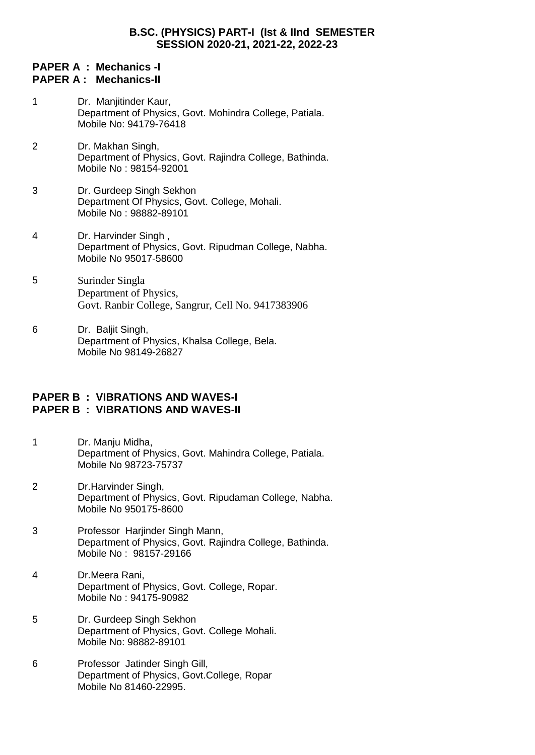## **B.SC. (PHYSICS) PART-I (Ist & IInd SEMESTER SESSION 2020-21, 2021-22, 2022-23**

## **PAPER A : Mechanics -I PAPER A : Mechanics-II**

- 1 Dr. Manjitinder Kaur, Department of Physics, Govt. Mohindra College, Patiala. Mobile No: 94179-76418
- 2 Dr. Makhan Singh, Department of Physics, Govt. Rajindra College, Bathinda. Mobile No : 98154-92001
- 3 Dr. Gurdeep Singh Sekhon Department Of Physics, Govt. College, Mohali. Mobile No : 98882-89101
- 4 Dr. Harvinder Singh , Department of Physics, Govt. Ripudman College, Nabha. Mobile No 95017-58600
- 5 Surinder Singla Department of Physics, Govt. Ranbir College, Sangrur, Cell No. 9417383906
- 6 Dr. Baliit Singh. Department of Physics, Khalsa College, Bela. Mobile No 98149-26827

## **PAPER B : VIBRATIONS AND WAVES-I PAPER B : VIBRATIONS AND WAVES-II**

- 1 Dr. Manju Midha, Department of Physics, Govt. Mahindra College, Patiala. Mobile No 98723-75737
- 2 Dr.Harvinder Singh, Department of Physics, Govt. Ripudaman College, Nabha. Mobile No 950175-8600
- 3 Professor Harjinder Singh Mann, Department of Physics, Govt. Rajindra College, Bathinda. Mobile No : 98157-29166
- 4 Dr.Meera Rani, Department of Physics, Govt. College, Ropar. Mobile No : 94175-90982
- 5 Dr. Gurdeep Singh Sekhon Department of Physics, Govt. College Mohali. Mobile No: 98882-89101
- 6 Professor Jatinder Singh Gill, Department of Physics, Govt.College, Ropar Mobile No 81460-22995.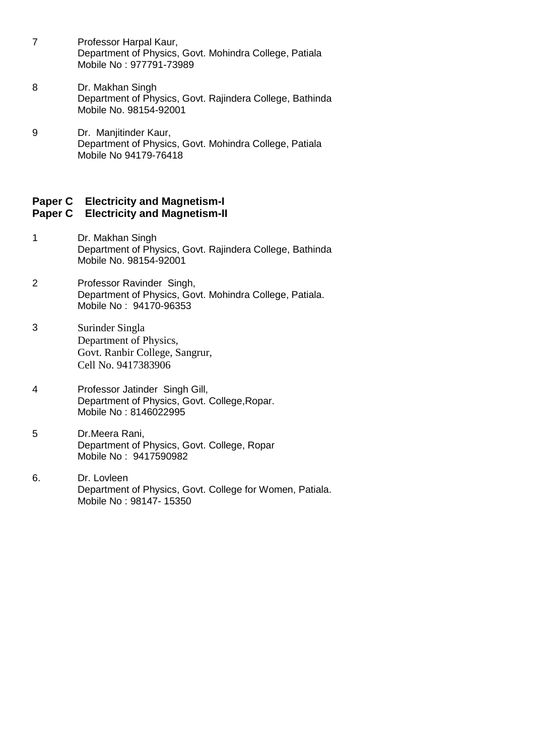- 7 Professor Harpal Kaur, Department of Physics, Govt. Mohindra College, Patiala Mobile No : 977791-73989
- 8 Dr. Makhan Singh Department of Physics, Govt. Rajindera College, Bathinda Mobile No. 98154-92001
- 9 Dr. Manjitinder Kaur, Department of Physics, Govt. Mohindra College, Patiala Mobile No 94179-76418

## **Paper C Electricity and Magnetism-I Paper C Electricity and Magnetism-II**

- 1 Dr. Makhan Singh Department of Physics, Govt. Rajindera College, Bathinda Mobile No. 98154-92001
- 2 Professor Ravinder Singh, Department of Physics, Govt. Mohindra College, Patiala. Mobile No : 94170-96353
- 3 Surinder Singla Department of Physics, Govt. Ranbir College, Sangrur, Cell No. 9417383906
- 4 Professor Jatinder Singh Gill, Department of Physics, Govt. College,Ropar. Mobile No : 8146022995
- 5 Dr.Meera Rani, Department of Physics, Govt. College, Ropar Mobile No : 9417590982
- 6. Dr. Lovleen Department of Physics, Govt. College for Women, Patiala. Mobile No : 98147- 15350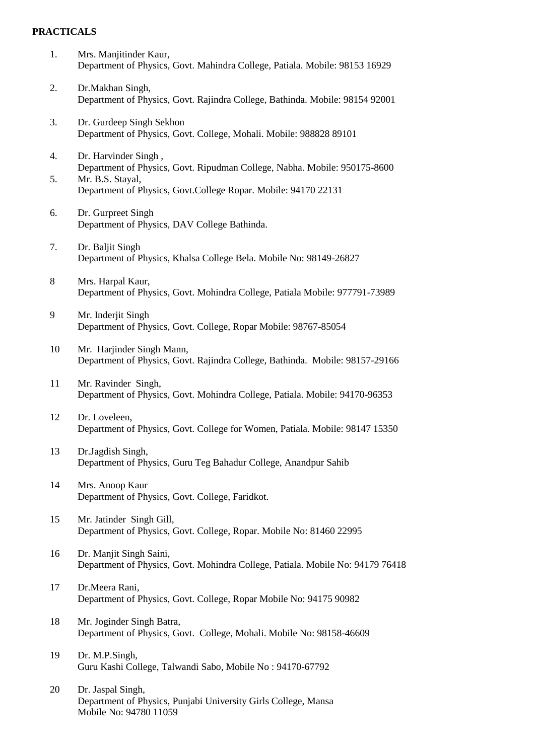#### **PRACTICALS**

- 1. Mrs. Manjitinder Kaur, Department of Physics, Govt. Mahindra College, Patiala. Mobile: 98153 16929
- 2. Dr.Makhan Singh, Department of Physics, Govt. Rajindra College, Bathinda. Mobile: 98154 92001
- 3. Dr. Gurdeep Singh Sekhon Department of Physics, Govt. College, Mohali. Mobile: 988828 89101
- 4. Dr. Harvinder Singh , Department of Physics, Govt. Ripudman College, Nabha. Mobile: 950175-8600
- 5. Mr. B.S. Stayal, Department of Physics, Govt.College Ropar. Mobile: 94170 22131
- 6. Dr. Gurpreet Singh Department of Physics, DAV College Bathinda.
- 7. Dr. Baljit Singh Department of Physics, Khalsa College Bela. Mobile No: 98149-26827
- 8 Mrs. Harpal Kaur, Department of Physics, Govt. Mohindra College, Patiala Mobile: 977791-73989
- 9 Mr. Inderjit Singh Department of Physics, Govt. College, Ropar Mobile: 98767-85054
- 10 Mr. Harjinder Singh Mann, Department of Physics, Govt. Rajindra College, Bathinda. Mobile: 98157-29166
- 11 Mr. Ravinder Singh, Department of Physics, Govt. Mohindra College, Patiala. Mobile: 94170-96353
- 12 Dr. Loveleen, Department of Physics, Govt. College for Women, Patiala. Mobile: 98147 15350
- 13 Dr.Jagdish Singh, Department of Physics, Guru Teg Bahadur College, Anandpur Sahib
- 14 Mrs. Anoop Kaur Department of Physics, Govt. College, Faridkot.
- 15 Mr. Jatinder Singh Gill, Department of Physics, Govt. College, Ropar. Mobile No: 81460 22995
- 16 Dr. Manjit Singh Saini, Department of Physics, Govt. Mohindra College, Patiala. Mobile No: 94179 76418
- 17 Dr.Meera Rani, Department of Physics, Govt. College, Ropar Mobile No: 94175 90982
- 18 Mr. Joginder Singh Batra, Department of Physics, Govt. College, Mohali. Mobile No: 98158-46609
- 19 Dr. M.P.Singh, Guru Kashi College, Talwandi Sabo, Mobile No : 94170-67792
- 20 Dr. Jaspal Singh, Department of Physics, Punjabi University Girls College, Mansa Mobile No: 94780 11059